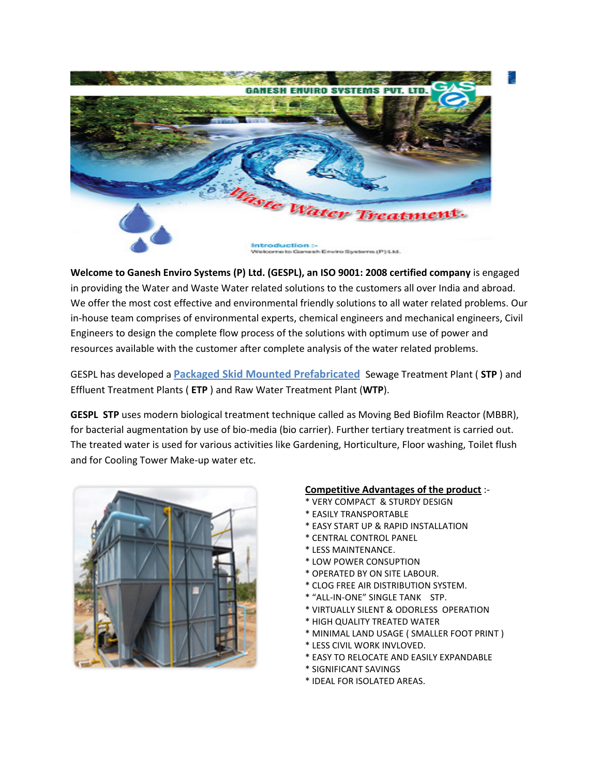

Welcome to Ganesh Enviro Systems (P) Ltd. (GESPL), an ISO 9001: 2008 certified company is engaged in providing the Water and Waste Water related solutions to the customers all over India and abroad. We offer the most cost effective and environmental friendly solutions to all water related problems. Our in-house team comprises of environmental experts, chemical engineers and mechanical engineers, Civil Engineers to design the complete flow process of the solutions with optimum use of power and resources available with the customer after complete analysis of the water related problems.

GESPL has developed a **Packaged Skid Mounted Prefabricated** Sewage Treatment Plant (STP) and Effluent Treatment Plants ( ETP ) and Raw Water Treatment Plant (WTP).

GESPL STP uses modern biological treatment technique called as Moving Bed Biofilm Reactor (MBBR), for bacterial augmentation by use of bio-media (bio carrier). Further tertiary treatment is carried out. The treated water is used for various activities like Gardening, Horticulture, Floor washing, Toilet flush and for Cooling Tower Make-up water etc.



### Competitive Advantages of the product :-

- \* VERY COMPACT & STURDY DESIGN
- \* EASILY TRANSPORTABLE
- \* EASY START UP & RAPID INSTALLATION
- \* CENTRAL CONTROL PANEL
- \* LESS MAINTENANCE.
- \* LOW POWER CONSUPTION
- \* OPERATED BY ON SITE LABOUR.
- \* CLOG FREE AIR DISTRIBUTION SYSTEM.
- \* "ALL-IN-ONE" SINGLE TANK STP.
- \* VIRTUALLY SILENT & ODORLESS OPERATION
- \* HIGH QUALITY TREATED WATER
- \* MINIMAL LAND USAGE ( SMALLER FOOT PRINT )
- \* LESS CIVIL WORK INVLOVED.
- \* EASY TO RELOCATE AND EASILY EXPANDABLE
- \* SIGNIFICANT SAVINGS
- \* IDEAL FOR ISOLATED AREAS.